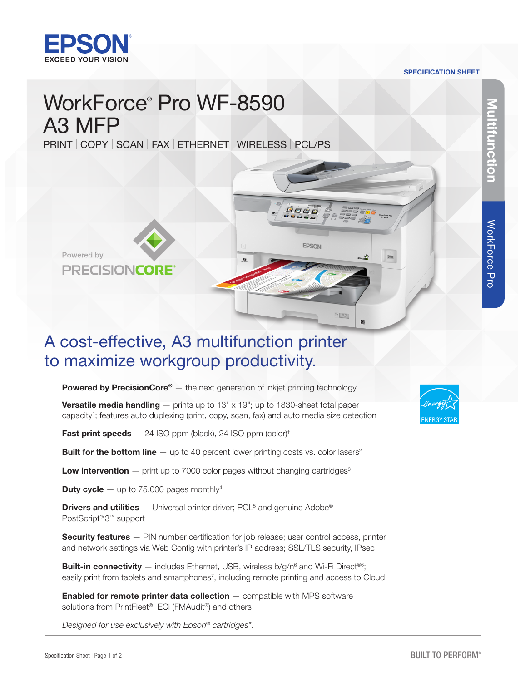

Powered by

PRECISIONCORE

## SPECIFICATION SHEET

## WorkForce® Pro WF-8590 A3 MFP

PRINT | COPY | SCAN | FAX | ETHERNET | WIRELESS | PCL/PS

## A cost-effective, A3 multifunction printer to maximize workgroup productivity.

**Powered by PrecisionCore®** — the next generation of inkjet printing technology

**Versatile media handling**  $-$  prints up to 13"  $\times$  19"; up to 1830-sheet total paper capacity<sup>1</sup>; features auto duplexing (print, copy, scan, fax) and auto media size detection

EPSON

 $C1$   $A3$ 

**Fast print speeds**  $- 24$  ISO ppm (black), 24 ISO ppm (color)<sup>†</sup>

**Built for the bottom line**  $-$  up to 40 percent lower printing costs vs. color lasers<sup>2</sup>

**Low intervention**  $-$  print up to 7000 color pages without changing cartridges<sup>3</sup>

**Duty cycle**  $-$  up to 75,000 pages monthly<sup>4</sup>

**Drivers and utilities**  $-$  Universal printer driver; PCL<sup>5</sup> and genuine Adobe<sup>®</sup> PostScript® 3™ support

Security features – PIN number certification for job release; user control access, printer and network settings via Web Config with printer's IP address; SSL/TLS security, IPsec

**Built-in connectivity**  $-$  includes Ethernet, USB, wireless b/g/n<sup>6</sup> and Wi-Fi Direct<sup>®6</sup>; easily print from tablets and smartphones<sup>7</sup>, including remote printing and access to Cloud

**Enabled for remote printer data collection**  $-$  compatible with MPS software solutions from PrintFleet®, ECi (FMAudit®) and others

*Designed for use exclusively with Epson® cartridges\*.*